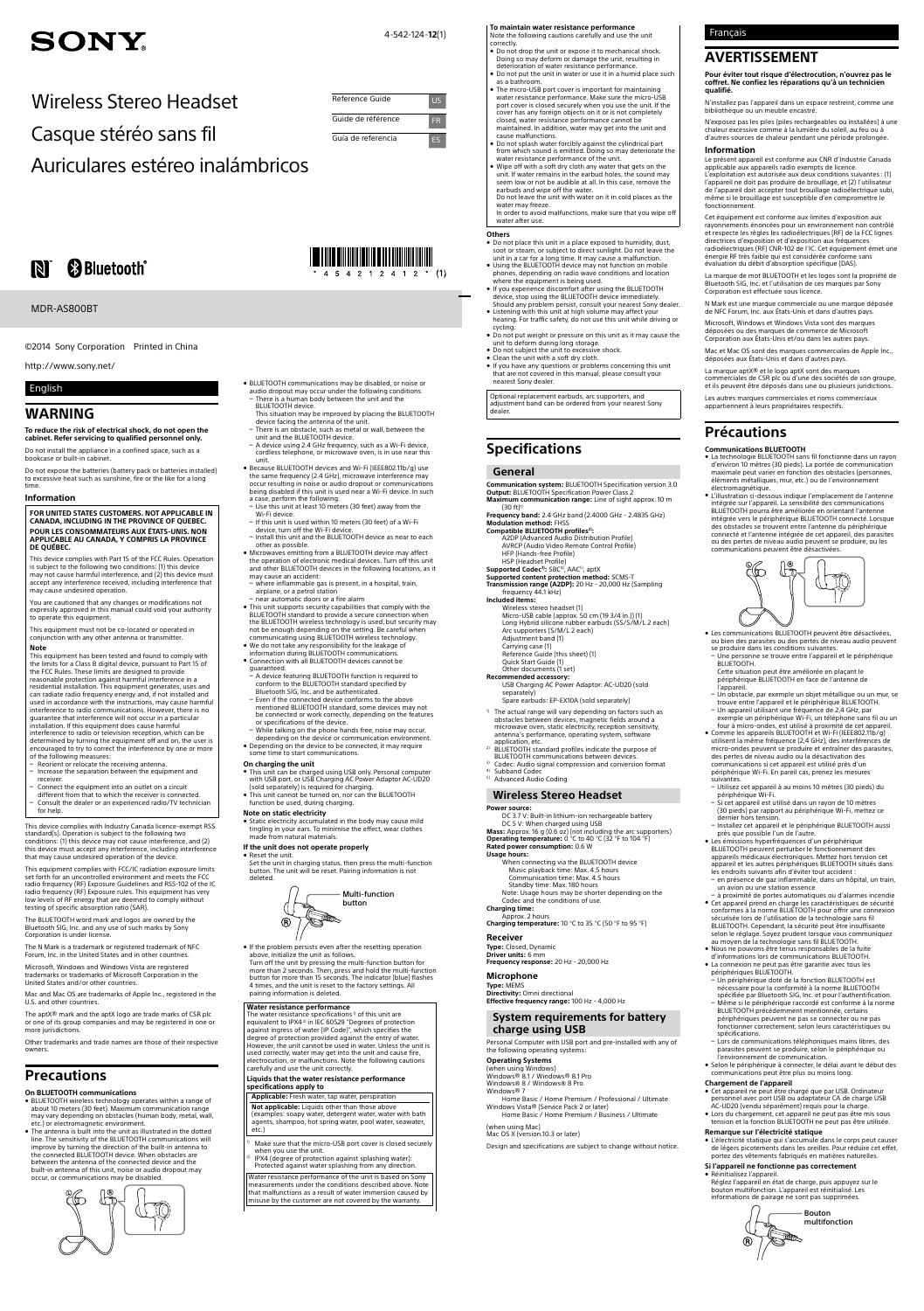# **SONY**

4-542-124-**12**(1)

Wireless Stereo Headset

Casque stéréo sans fil

Reference Guide US Guide de référence FR Guía de referencia ES

Auriculares estéreo inalámbricos

# **B** Bluetooth<sup>®</sup>

### MDR-AS800RT

http://www.sony.net/

©2014 Sony Corporation Printed in China

# English

# **WARNING**

# **To reduce the risk of electrical shock, do not open the cabinet. Refer servicing to qualified personnel only.**

This device complies with Part 15 of the FCC Rules. Operation is subject to the following two conditions: (1) this device may not cause harmful interference, and (2) this device must accept any interference received, including interference that may cause undesired operation.

Do not install the appliance in a confined space, such as a bookcase or built-in cabinet.

Do not expose the batteries (battery pack or batteries installed) to excessive heat such as sunshine, fire or the like for a long time.

#### **Information**

#### **FOR UNITED STATES CUSTOMERS. NOT APPLICABLE IN CANADA, INCLUDING IN THE PROVINCE OF QUEBEC. POUR LES CONSOMMATEURS AUX ÉTATS-UNIS. NON APPLICABLE AU CANADA, Y COMPRIS LA PROVINCE DE QUÉBEC.**

You are cautioned that any changes or modifications not expressly approved in this manual could void your authority to operate this equipment.

- Reorient or relocate the receiving antenna - Increase the separation between the equipment and
- receiver. Connect the equipment into an outlet on a circuit
- different from that to which the receiver is connected. ē Consult the dealer or an experienced radio/TV technician for help.

This equipment must not be co-located or operated in conjunction with any other antenna or transmitter.

### **Note**

This equipment has been tested and found to comply with the limits for a Class B digital device, pursuant to Part 15 of the FCC Rules. These limits are designed to provide reasonable protection against harmful interference in a residential installation. This equipment generates, uses and can radiate radio frequency energy and, if not installed and used in accordance with the instructions, may cause harmful interference to radio communications. However, there is no guarantee that interference will not occur in a particular installation. If this equipment does cause harmful interference to radio or television reception, which can be determined by turning the equipment off and on, the user is encouraged to try to correct the interference by one or more of the following measures:

- BLUETOOTH wireless technology operates within a range of about 10 meters (30 feet). Maximum communication range may vary depending on obstacles (human body, metal, wall, etc.) or electromagnetic environment.
- ˎ The antenna is built into the unit as illustrated in the dotted line. The sensitivity of the Bluetooth communications will improve by turning the direction of the built-in antenna to the connected BLUETOOTH device. When obstacles are<br>between the antenna of the connected device and the built-in antenna of this unit, noise or audio dropout may occur, or communications may be disabled.



This device complies with Industry Canada licence-exempt RSS standard(s). Operation is subject to the following two conditions: (1) this device may not cause interference, and (2) this device must accept any interference, including interference that may cause undesired operation of the device.

This equipment complies with FCC/IC radiation exposure limits set forth for an uncontrolled environment and meets the FCC radio frequency (RF) Exposure Guidelines and RSS-102 of the IC radio frequency (RF) Exposure databased and has very radio frequency (RF) Exposure rules. This equipment has very low levels of RF energy that are deemed to comply without testing of specific absorption ratio (SAR).

The BLUETOOTH word mark and logos are owned by the Bluetooth SIG, Inc. and any use of such marks by Sony Corporation is under license.

The N Mark is a trademark or registered trademark of NFC Forum, Inc. in the United States and in other countries. Microsoft, Windows and Windows Vista are registered

trademarks or trademarks of Microsoft Corporation in the United States and/or other countries.

Mac and Mac OS are trademarks of Apple Inc., registered in the U.S. and other countries.

#### **If the unit does not operate properly** Reset the unit

The aptX® mark and the aptX logo are trade marks of CSR plc or one of its group companies and may be registered in one or more jurisdictions.

Other trademarks and trade names are those of their respective owners.

# **Precautions**

#### **On Bluetooth communications**

Make sure that the micro-USB port cover is closed securely when you use the unit.

- Do not place this unit in a place exposed to humidity, dust,<br>soot or steam, or subject to direct sunlight. Do not leave the<br>unit in a car for a long time. It may cause a malfunction.<br>• Using the BLUETOOTH device may not
- 
- where the equipment is being used. . If you experience discomfort after using the BLUETOOTH
- device, stop using the BLUETOOTH device immediately.<br>Should any problem persist, consult your nearest Sony dealer. ˎ Listening with this unit at high volume may affect your hearing. For traffic safety, do not use this unit while driving or cycling.
- Do not put weight or pressure on this unit as it may cause the unit to deform during long storage. ˎ Do not subject the unit to excessive shock.
- Clean the unit with a soft dry cloth.
- ˎ If you have any questions or problems concerning this unit that are not covered in this manual, please consult your nearest Sony dealer.
- ˎ BLUETOOTH communications may be disabled, or noise or audio dropout may occur under the following conditions. There is a human body between the unit and the BLUETOOTH device.
- This situation may be improved by placing the BLUETOOTH device facing the antenna of the unit. ē There is an obstacle, such as metal or wall, between the
- unit and the BLUETOOTH device. ē A device using 2.4 GHz frequency, such as a Wi-Fi device, cordless telephone, or microwave oven, is in use near this
- unit. ˎ Because BLUETOOTH devices and Wi-Fi (IEEE802.11b/g) use the same frequency (2.4 GHz), microwave interference may occur resulting in noise or audio dropout or communications being disabled if this unit is used near a Wi-Fi device. In such a case, perform the following.
- Use this unit at least 10 meters (30 feet) away from the Wi-Fi device.
- If this unit is used within 10 meters (30 feet) of a Wi-Fi device, turn off the Wi-Fi device. - Install this unit and the BLUETOOTH device as near to each
- other as possible. • Microwaves emitting from a BLUETOOTH device may affect
- the operation of electronic medical devices. Turn off this unit and other Bluetooth devices in the following locations, as it may cause an accident: a, cause an accraent.<br>where inflammable gas is present, in a hospital, train,
- airplane, or a petrol station ē near automatic doors or a fire alarm
- ˎ This unit supports security capabilities that comply with the Bluetooth standard to provide a secure connection when the BLUETOOTH wireless technology is used, but security may<br>not be enough depending on the setting. Be careful when<br>communicating using BLUETOOTH wireless technology.
- ˎ We do not take any responsibility for the leakage of information during Bluetooth communications. ˎ Connection with all Bluetooth devices cannot be
- 
- guaranteed. ē A device featuring Bluetooth function is required to conform to the Bluetooth standard specified by
- Bluetooth SIG, Inc. and be authenticated. ē Even if the connected device conforms to the above mentioned Bluetooth standard, some devices may not
- be connected or work correctly, depending on the features or specifications of the device. - While talking on the phone hands free, noise may occur,
- depending on the device or communication environment. ˎ Depending on the device to be connected, it may require
- some time to start communications.
- 
- **On charging the unit** ˎ This unit can be charged using USB only. Personal computer with USB port, or USB Charging AC Power Adaptor AC-UD20
- (sold separately) is required for charging. ˎ This unit cannot be turned on, nor can the BLUETOOTH function be used, during charging.

**Communication system:** BLUETOOTH Specification version 3.0<br>**Output:** BLUETOOTH Specification Power Class 2 **Maximum communication range:** Line of sight approx. 10 m

- $(30 ft)$ <sup>1</sup> **Frequency band:** 2.4 GHz band (2.4000 GHz - 2.4835 GHz) **Modulation method:** FHSS
- 
- **Compatible BLUETOOTH profiles<sup>2)</sup>:**<br>A2DP (Advanced Audio Distribution Profile) AVRCP (Audio Video Remote Control Profile) HFP (Hands-free Profile) HSP (Headset Profile)
- 
- **Supported Codec<sup>3)</sup>: SB**C<sup>4)</sup>, AAC<sup>5)</sup>, aptX<br>**Supported content protection method:** SCMS-T<br>**Transmission range (A2DP):** 20 Hz 20,000 Hz (Sampling frequency 44.1 kHz)

- 1) The actual range will vary depending on factors such as obstacles between devices, magnetic fields around a microwave oven, static electricity, reception sensitivity, antenna's performance, operating system, software application, etc.  $^{2)}$  BLUETOOTH standard profiles indicate the purpose of
- 
- BLUETOOTH communications between devices. Codec: Audio signal compression and conversion format
- Subband Code
- <sup>5)</sup> Advanced Audio Coding

#### **Note on static electricity**

ˎ Static electricity accumulated in the body may cause mild tingling in your ears. To minimise the effect, wear clothes made from natural materials.

Set the unit in charging status, then press the multi-function button. The unit will be reset. Pairing information is not deleted.



- ˎ If the problem persists even after the resetting operation above, initialize the unit as follows.
- Turn off the unit by pressing the multi-function button for more than 2 seconds. Then, press and hold the multi-function button for more than 15 seconds. The indicator (blue) flashes 4 times, and the unit is reset to the factory settings. All pairing information is deleted.

#### **Water resistance performance**

The water resistance specifications 1) of this unit are equivalent to IPX42) in IEC 60529 "Degrees of protection against ingress of water (IP Code)", which specifies the degree of protection provided against the entry of water. However, the unit cannot be used in water. Unless the unit is used correctly, water may get into the unit and cause fire, electrocution, or malfunctions. Note the following cautions carefully and use the unit correctly.

#### **Liquids that the water resistance performance specifications apply to**

**Applicable:** Fresh water, tap water, perspiration

**Not applicable:** Liquids other than those above (examples: soapy water, detergent water, water with bath agents, shampoo, hot spring water, pool water, seawate etc.)

2) IPX4 (degree of protection against splashing water): Protected against water splashing from any direction.

Water resistance performance of the unit is based on Sony measurements under the conditions described above. Note that malfunctions as a result of water immersion caused by misuse by the customer are not covered by the warranty.

**To maintain water resistance performance** Note the following cautions carefully and use the unit correctly.

> ˎ Cet appareil prend en charge les caractéristiques de sécurité conformes à la norme Bluetooth pour offrir une connexion sécurisée lors de l'utilisation de la technologie sans fil BLUETOOTH. Cependant, la sécurité peut être insuffisante selon le réglage. Soyez prudent lorsque vous communiquez<br>au moyen de la technologie sans fil BLUETOOTH. ˎ Nous ne pouvons être tenus responsables de la fuite d'informations lors de communications BLUETOOTH.<br>• La connexion ne peut pas être garantie avec tous les

périphériques BLUETOOTH.<br>En un périphérique doté de la fonction BLUETOOTH est –<br>nécessaire pour la conformité à la norme BLUETOOT spécifiée par Bluetooth SIG, Inc. et pour l'authentification.

- ˎ Do not drop the unit or expose it to mechanical shock. Doing so may deform or damage the unit, resulting in deterioration of water resistance performance.
- Do not put the unit in water or use it in a humid place such as a bathroom. ˎ The micro-USB port cover is important for maintaining
- water resistance performance. Make sure the micro-USB port cover is closed securely when you use the unit. If the cover has any foreign objects on it or is not completely closed, water resistance performance cannot be maintained. In addition, water may get into the unit and cause malfunctions.
- ˎ Do not splash water forcibly against the cylindrical part from which sound is emitted. Doing so may deteriorate the water resistance performance of the unit.
- ˎ Wipe off with a soft dry cloth any water that gets on the unit. If water remains in the earbud holes, the sound may seem low or not be audible at all. In this case, remove the earbuds and wipe off the water. Do not leave the unit with water on it in cold places as the
- water may freeze. In order to avoid malfunctions, make sure that you wipe off
- water after use.

# **Others**<br>• Do not place this unit in a place exposed to bumidity dust

Optional replacement earbuds, arc supporters, and adjustment band can be ordered from your nearest Sony dealer.

# **Specifications**

### **General**

- **Included items:** Wireless stereo headset (1) Micro-USB cable (approx. 50 cm (19 3/4 in.)) (1) Long Hybrid silicone rubber earbuds (SS/S/M/L 2 each) Arc supporters (S/M/L 2 each) Adjustment band (1)
- 
- Carrying case (1) Reference Guide (this sheet) (1)
- Quick Start Guide (1) Other documents (1 set) **Recommended accessory:**
- 

USB Charging AC Power Adaptor: AC-UD20 (sold separately) Spare earbuds: EP-EX10A (sold separately)

# **Wireless Stereo Headset**

**Power source:** DC 3.7 V: Built-in lithium-ion rechargeable battery DC 5 V: When charged using USB **Mass:** Approx. 16 g (0.6 oz) (not including the arc supporters) **Operating temperature:** 0 °C to 40 °C (32 °F to 104 °F) **Rated power consumption:** 0.6 W

- **Usage hours:** When connecting via the BLUETOOTH device Music playback time: Max. 4.5 hours
- Communication time: Max. 4.5 hours Standby time: Max. 180 hours
- Note: Usage hours may be shorter depending on the Codec and the conditions of use. **Charging time:** Approx. 2 hours

**Charging temperature:** 10 °C to 35 °C (50 °F to 95 °F)

**Receiver Type:** Closed, Dynamic **Driver units:** 6 mm

**Frequency response:** 20 Hz - 20,000 Hz

**Microphone**

**Type:** MEMS **Directivity:** Omni directional **Effective frequency range:** 100 Hz - 4,000 Hz

# **System requirements for battery charge using USB**

Personal Computer with USB port and pre-installed with any of the following operating systems:

#### **Operating Systems**

(when using Windows) Windows® 8.1 / Windows® 8.1 Pro Windows® 8 / Windows® 8 Pro Windows® 7

Home Basic / Home Premium / Professional / Ultimate Windows Vista® (Service Pack 2 or later) Home Basic / Home Premium / Business / Ultimate

(when using Mac) Mac OS X (version.10.3 or later)

Design and specifications are subject to change without notice.

Français

**AVERTISSEMENT**

**Pour éviter tout risque d'électrocution, n'ouvrez pas le coffret. Ne confiez les réparations qu'à un technicien** 

**qualifié.**

N'installez pas l'appareil dans un espace restreint, comme une

bibliothèque ou un meuble encastré.

N'exposez pas les piles (piles rechargeables ou installées) à une chaleur excessive comme à la lumière du soleil, au feu ou à d'autres sources de chaleur pendant une période prolongée.

**Information**

Le présent appareil est conforme aux CNR d'Industrie Canada applicable aux appareils radio exempts de licence. L'exploitation est autorisée aux deux conditions suivantes : (1) l'appareil ne doit pas produire de brouillage, et (2) l'utilisateur de l'appareil doit accepter tout brouillage radioélectrique subi, même si le brouillage est susceptible d'en compromettre le

fonctionnement.

Cet équipement est conforme aux limites d'exposition aux rayonnements énoncées pour un environnement non contrôlé et respecte les règles les radioélectriques (RF) de la FCC lignes directrices d'exposition et d'exposition aux fréquences radioélectriques (RF) CNR-102 de l'IC. Cet équipement émet une énergie RF très faible qui est considérée conforme sans évaluation du débit d'absorption spécifique (DAS). La marque de mot BLUETOOTH et les logos sont la propriété de Bluetooth SIG, Inc. et l'utilisation de ces marques par Sony Corporation est effectuée sous licence. N Mark est une marque commerciale ou une marque déposée de NFC Forum, Inc. aux États-Unis et dans d'autres pays. Microsoft, Windows et Windows Vista sont des marques déposées ou des marques de commerce de Microsoft Corporation aux États-Unis et/ou dans les autres pays. Mac et Mac OS sont des marques commerciales de Apple Inc.,

déposées aux États-Unis et dans d'autres pays. La marque aptX® et le logo aptX sont des marques commerciales de CSR plc ou d'une des sociétés de son groupe, et ils peuvent être déposés dans une ou plusieurs juridictions. Les autres marques commerciales et noms commerciaux appartiennent à leurs propriétaires respectifs.

**Précautions Communications Bluetooth**

ˎ La technologie BLUETOOTH sans fil fonctionne dans un rayon d'environ 10 mètres (30 pieds). La portée de communication maximale peut varier en fonction des obstacles (personnes, éléments métalliques, mur, etc.) ou de l'environnement électromagnétique. ˎ L'illustration ci-dessous indique l'emplacement de l'antenne intégrée sur l'appareil. La sensibilité des communications BLUETOOTH pourra être améliorée en orientant l'antenne<br>intégrée vers le périphérique BLUETOOTH connecté. Lorsque des obstacles se trouvent entre l'antenne du périphérique connecté et l'antenne intégrée de cet appareil, des parasites ou des pertes de niveau audio peuvent se produire, ou les

communications peuvent être désactivées.

čb

 $\mathbb{E}$ 

ˎ Les communications BLUETOOTH peuvent être désactivées, ou bien des parasites ou des pertes de niveau audio peuvent

se produire dans les conditions suivantes.

ē Une personne se trouve entre l'appareil et le périphérique BLUETOOTH. Cette situation peut être améliorée en plaçant le périphérique BLUETOOTH en face de l'antenne de l'appareil. ē Un obstacle, par exemple un objet métallique ou un mur, se trouve entre l'appareil et le périphérique BLUETOOTH. ē Un appareil utilisant une fréquence de 2,4 GHz, par exemple un périphérique Wi-Fi, un téléphone sans fil ou un four à micro-ondes, est utilisé à proximité de cet appareil. ˎ Comme les appareils BLUETOOTH et Wi-Fi (IEEE802.11b/g) utilisent la même fréquence (2,4 GHz), des interférences de micro-ondes peuvent se produire et entraîner des parasites, des pertes de niveau audio ou la désactivation des

communications si cet appareil est utilisé près d'un périphérique Wi-Fi. En pareil cas, prenez les mesures

suivantes.

ē Utilisez cet appareil à au moins 10 mètres (30 pieds) du périphérique Wi-Fi. ē Si cet appareil est utilisé dans un rayon de 10 mètres (30 pieds) par rapport au périphérique Wi-Fi, mettez ce dernier hors tension. ē Installez cet appareil et le périphérique Bluetooth aussi

près que possible l'un de l'autre. ˎ Les émissions hyperfréquences d'un périphérique Bluetooth peuvent perturber le fonctionnement des

appareils médicaux électroniques. Mettez hors tension cet<br>appareil et les autres périphériques BLUETOOTH situés dans<br>les endroits suivants afin d'éviter tout accident :

ē en présence de gaz inflammable, dans un hôpital, un train, un avion ou une station essence ē à proximité de portes automatiques ou d'alarmes incendie

- ē Même si le périphérique raccordé est conforme à la norme BLUETOOTH précédemment mentionnée, certains périphériques peuvent ne pas se connecter ou ne pas fonctionner correctement, selon leurs caractéristiques ou spécifications.
- Lors de communications téléphoniques mains libres, des parasites peuvent se produire, selon le périphérique ou l'environnement de communication.
- ˎ Selon le périphérique à connecter, le délai avant le début des communications peut être plus ou moins long.

#### **Chargement de l'appareil**

- ˎ Cet appareil ne peut être chargé que par USB. Ordinateur personnel avec port USB ou adaptateur CA de charge USB AC-UD20 (vendu séparément) requis pour la charge.
- ˎ Lors du chargement, cet appareil ne peut pas être mis sous tension et la fonction BLUETOOTH ne peut pas être utilisée.

### **Remarque sur l'électricité statique**

ˎ L'électricité statique qui s'accumule dans le corps peut causer de légers picotements dans les oreilles. Pour réduire cet effet, portez des vêtements fabriqués en matières naturelles.

#### **Si l'appareil ne fonctionne pas correctement**

ˎ Réinitialisez l'appareil. Réglez l'appareil en état de charge, puis appuyez sur le bouton multifonction. L'appareil est réinitialisé. Les informations de pairage ne sont pas supprimées.